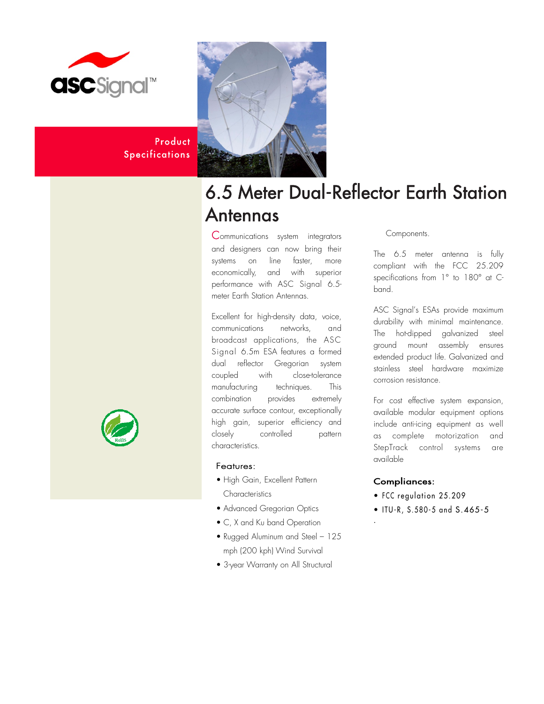

Product **Specifications** 



# 6.5 Meter Dual-Reflector Earth Station Antennas

Communications system integrators and designers can now bring their systems on line faster, more economically, and with superior performance with ASC Signal 6.5 meter Earth Station Antennas.

Excellent for high-density data, voice, communications networks, and broadcast applications, the ASC Signal 6.5m ESA features a formed dual reflector Gregorian system coupled with close-tolerance manufacturing techniques. This combination provides extremely accurate surface contour, exceptionally high gain, superior efficiency and closely controlled pattern characteristics.

# Features:

- High Gain, Excellent Pattern **Characteristics**
- Advanced Gregorian Optics
- C, X and Ku band Operation
- Rugged Aluminum and Steel 125 mph (200 kph) Wind Survival
- 3-year Warranty on All Structural

### Components.

The 6.5 meter antenna is fully compliant with the FCC 25.209 specifications from 1° to 180° at Cband.

ASC Signal's ESAs provide maximum durability with minimal maintenance. The hot-dipped galvanized steel ground mount assembly ensures extended product life. Galvanized and stainless steel hardware maximize corrosion resistance.

For cost effective system expansion, available modular equipment options include anti-icing equipment as well as complete motorization and StepTrack control systems are available

# Compliances:

.

- FCC regulation 25.209
- ITU-R, S.580-5 and S.465-5